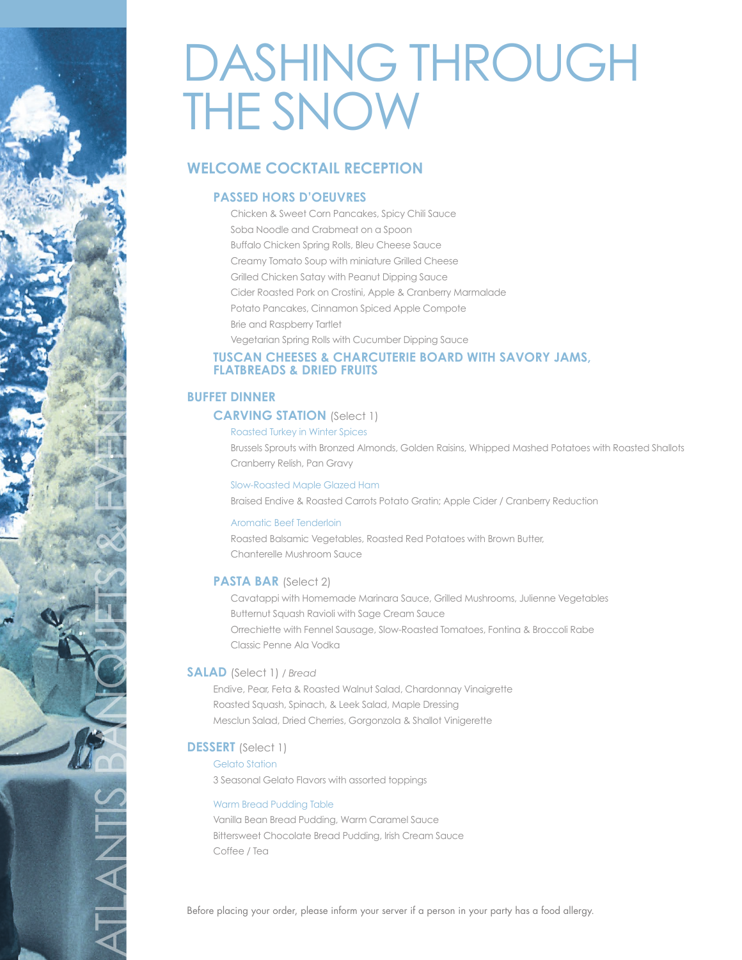# DASHING THROUGH THE SNOW

## **WELCOME COCKTAIL RECEPTION**

### **PASSED HORS D'OEUVRES**

 Chicken & Sweet Corn Pancakes, Spicy Chili Sauce Soba Noodle and Crabmeat on a Spoon Buffalo Chicken Spring Rolls, Bleu Cheese Sauce Creamy Tomato Soup with miniature Grilled Cheese Grilled Chicken Satay with Peanut Dipping Sauce Cider Roasted Pork on Crostini, Apple & Cranberry Marmalade Potato Pancakes, Cinnamon Spiced Apple Compote Brie and Raspberry Tartlet Vegetarian Spring Rolls with Cucumber Dipping Sauce

#### **TUSCAN CHEESES & CHARCUTERIE BOARD WITH SAVORY JAMS, FLATBREADS & DRIED FRUITS**

#### **BUFFET DINNER**

#### **CARVING STATION** (Select 1)

Roasted Turkey in Winter Spices

 Brussels Sprouts with Bronzed Almonds, Golden Raisins, Whipped Mashed Potatoes with Roasted Shallots Cranberry Relish, Pan Gravy

#### Slow-Roasted Maple Glazed Ham

Braised Endive & Roasted Carrots Potato Gratin; Apple Cider / Cranberry Reduction

#### Aromatic Beef Tenderloin

 Roasted Balsamic Vegetables, Roasted Red Potatoes with Brown Butter, Chanterelle Mushroom Sauce

#### **PASTA BAR** (Select 2)

 Cavatappi with Homemade Marinara Sauce, Grilled Mushrooms, Julienne Vegetables Butternut Squash Ravioli with Sage Cream Sauce Orrechiette with Fennel Sausage, Slow-Roasted Tomatoes, Fontina & Broccoli Rabe Classic Penne Ala Vodka

#### **SALAD** (Select 1) */ Bread*

Endive, Pear, Feta & Roasted Walnut Salad, Chardonnay Vinaigrette Roasted Squash, Spinach, & Leek Salad, Maple Dressing Mesclun Salad, Dried Cherries, Gorgonzola & Shallot Vinigerette

#### **DESSERT** (Select 1)

ATLANTIS BANQUETS & EVENTS

TANTI

Gelato Station 3 Seasonal Gelato Flavors with assorted toppings

#### Warm Bread Pudding Table

Vanilla Bean Bread Pudding, Warm Caramel Sauce Bittersweet Chocolate Bread Pudding, Irish Cream Sauce Coffee / Tea

Before placing your order, please inform your server if a person in your party has a food allergy.